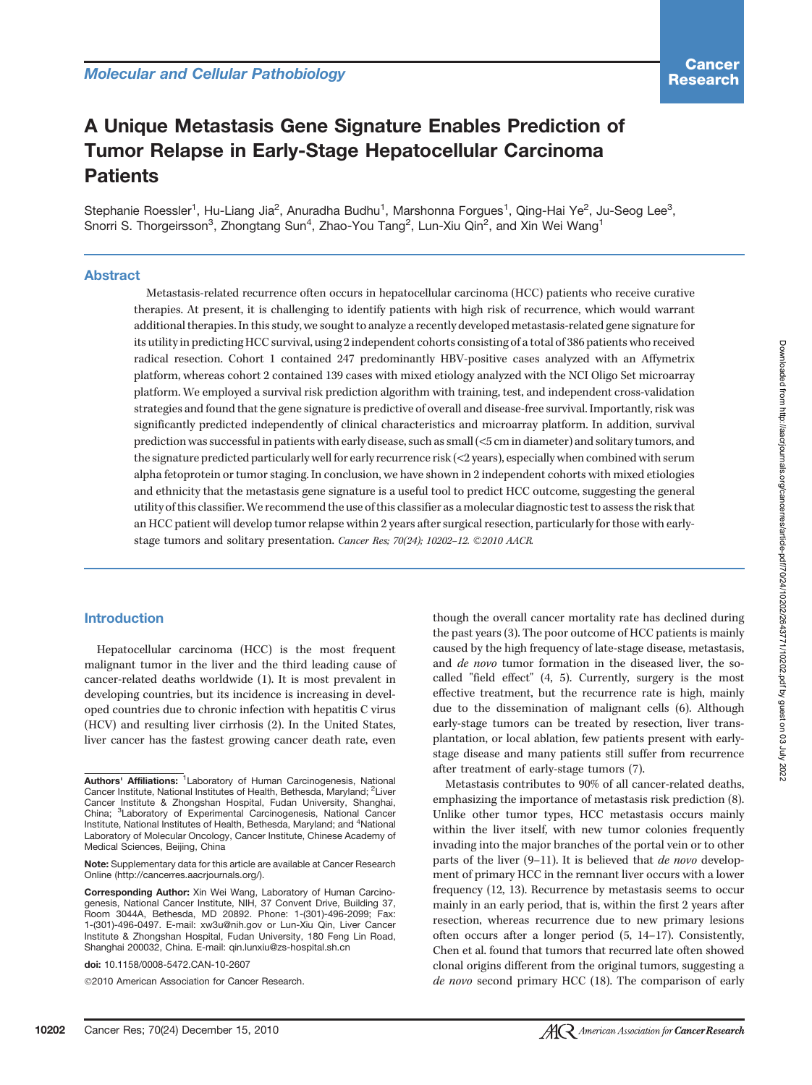# A Unique Metastasis Gene Signature Enables Prediction of Tumor Relapse in Early-Stage Hepatocellular Carcinoma **Patients**

Stephanie Roessler<sup>1</sup>, Hu-Liang Jia<sup>2</sup>, Anuradha Budhu<sup>1</sup>, Marshonna Forgues<sup>1</sup>, Qing-Hai Ye<sup>2</sup>, Ju-Seog Lee<sup>3</sup>, Snorri S. Thorgeirsson<sup>3</sup>, Zhongtang Sun<sup>4</sup>, Zhao-You Tang<sup>2</sup>, Lun-Xiu Qin<sup>2</sup>, and Xin Wei Wang<sup>1</sup>

### Abstract

Metastasis-related recurrence often occurs in hepatocellular carcinoma (HCC) patients who receive curative therapies. At present, it is challenging to identify patients with high risk of recurrence, which would warrant additional therapies. In this study, we sought to analyze a recently developed metastasis-related gene signature for its utility in predicting HCC survival, using 2 independent cohorts consisting of a total of 386 patients who received radical resection. Cohort 1 contained 247 predominantly HBV-positive cases analyzed with an Affymetrix platform, whereas cohort 2 contained 139 cases with mixed etiology analyzed with the NCI Oligo Set microarray platform. We employed a survival risk prediction algorithm with training, test, and independent cross-validation strategies and found that the gene signature is predictive of overall and disease-free survival. Importantly, risk was significantly predicted independently of clinical characteristics and microarray platform. In addition, survival prediction was successful in patients with early disease, such as small (<5 cm in diameter) and solitary tumors, and the signature predicted particularly well for early recurrence risk (<2 years), especially when combined with serum alpha fetoprotein or tumor staging. In conclusion, we have shown in 2 independent cohorts with mixed etiologies and ethnicity that the metastasis gene signature is a useful tool to predict HCC outcome, suggesting the general utility of this classifier.We recommend the use of this classifier as a molecular diagnostic test to assess the risk that an HCC patient will develop tumor relapse within 2 years after surgical resection, particularly for those with earlystage tumors and solitary presentation. Cancer Res; 70(24); 10202-12. ©2010 AACR.

#### Introduction

Hepatocellular carcinoma (HCC) is the most frequent malignant tumor in the liver and the third leading cause of cancer-related deaths worldwide (1). It is most prevalent in developing countries, but its incidence is increasing in developed countries due to chronic infection with hepatitis C virus (HCV) and resulting liver cirrhosis (2). In the United States, liver cancer has the fastest growing cancer death rate, even

Corresponding Author: Xin Wei Wang, Laboratory of Human Carcinogenesis, National Cancer Institute, NIH, 37 Convent Drive, Building 37, Room 3044A, Bethesda, MD 20892. Phone: 1-(301)-496-2099; Fax: 1-(301)-496-0497. E-mail: xw3u@nih.gov or Lun-Xiu Qin, Liver Cancer Institute & Zhongshan Hospital, Fudan University, 180 Feng Lin Road, Shanghai 200032, China. E-mail: qin.lunxiu@zs-hospital.sh.cn

doi: 10.1158/0008-5472.CAN-10-2607

©2010 American Association for Cancer Research.

though the overall cancer mortality rate has declined during the past years (3). The poor outcome of HCC patients is mainly caused by the high frequency of late-stage disease, metastasis, and de novo tumor formation in the diseased liver, the socalled "field effect" (4, 5). Currently, surgery is the most effective treatment, but the recurrence rate is high, mainly due to the dissemination of malignant cells (6). Although early-stage tumors can be treated by resection, liver transplantation, or local ablation, few patients present with earlystage disease and many patients still suffer from recurrence after treatment of early-stage tumors (7).

Metastasis contributes to 90% of all cancer-related deaths, emphasizing the importance of metastasis risk prediction (8). Unlike other tumor types, HCC metastasis occurs mainly within the liver itself, with new tumor colonies frequently invading into the major branches of the portal vein or to other parts of the liver (9–11). It is believed that de novo development of primary HCC in the remnant liver occurs with a lower frequency (12, 13). Recurrence by metastasis seems to occur mainly in an early period, that is, within the first 2 years after resection, whereas recurrence due to new primary lesions often occurs after a longer period (5, 14–17). Consistently, Chen et al. found that tumors that recurred late often showed clonal origins different from the original tumors, suggesting a de novo second primary HCC (18). The comparison of early

Authors' Affiliations: <sup>1</sup> Laboratory of Human Carcinogenesis, National Cancer Institute, National Institutes of Health, Bethesda, Maryland; <sup>2</sup>Liver Cancer Institute & Zhongshan Hospital, Fudan University, Shanghai, China; <sup>3</sup>Laboratory of Experimental Carcinogenesis, National Cancer Institute, National Institutes of Health, Bethesda, Maryland; and <sup>4</sup>National Laboratory of Molecular Oncology, Cancer Institute, Chinese Academy of Medical Sciences, Beijing, China

Note: Supplementary data for this article are available at Cancer Research Online (http://cancerres.aacrjournals.org/).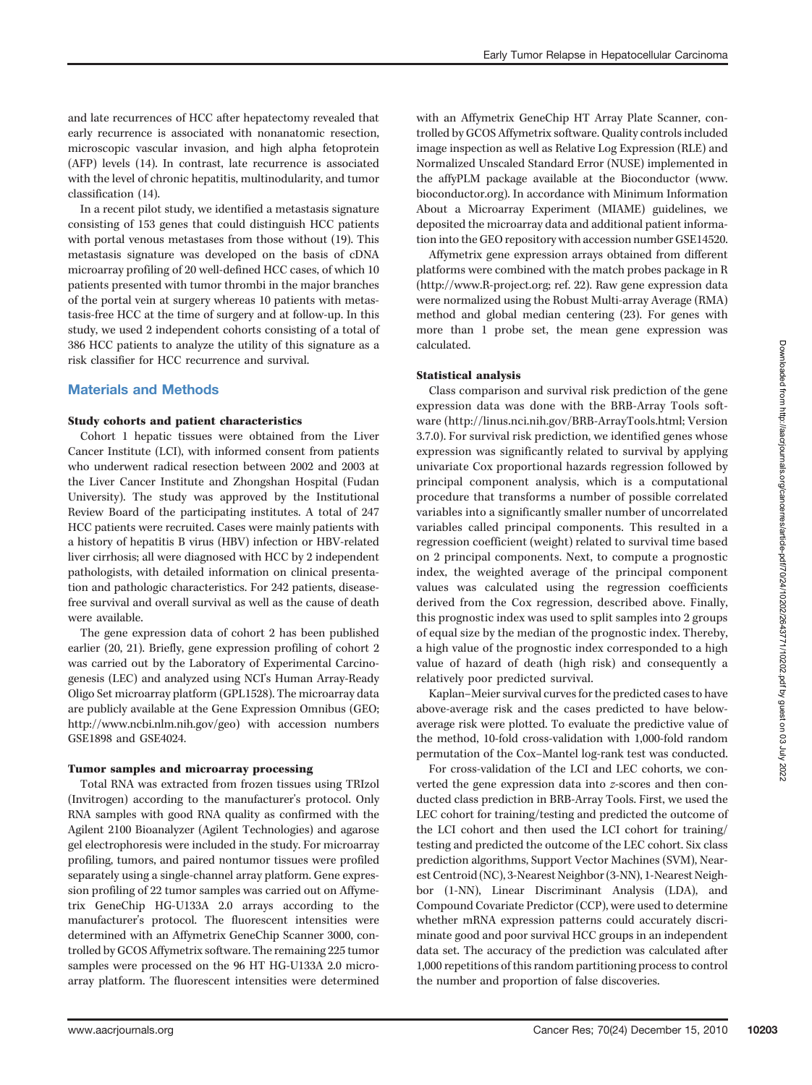and late recurrences of HCC after hepatectomy revealed that early recurrence is associated with nonanatomic resection, microscopic vascular invasion, and high alpha fetoprotein (AFP) levels (14). In contrast, late recurrence is associated with the level of chronic hepatitis, multinodularity, and tumor classification (14).

In a recent pilot study, we identified a metastasis signature consisting of 153 genes that could distinguish HCC patients with portal venous metastases from those without (19). This metastasis signature was developed on the basis of cDNA microarray profiling of 20 well-defined HCC cases, of which 10 patients presented with tumor thrombi in the major branches of the portal vein at surgery whereas 10 patients with metastasis-free HCC at the time of surgery and at follow-up. In this study, we used 2 independent cohorts consisting of a total of 386 HCC patients to analyze the utility of this signature as a risk classifier for HCC recurrence and survival.

# Materials and Methods

#### Study cohorts and patient characteristics

Cohort 1 hepatic tissues were obtained from the Liver Cancer Institute (LCI), with informed consent from patients who underwent radical resection between 2002 and 2003 at the Liver Cancer Institute and Zhongshan Hospital (Fudan University). The study was approved by the Institutional Review Board of the participating institutes. A total of 247 HCC patients were recruited. Cases were mainly patients with a history of hepatitis B virus (HBV) infection or HBV-related liver cirrhosis; all were diagnosed with HCC by 2 independent pathologists, with detailed information on clinical presentation and pathologic characteristics. For 242 patients, diseasefree survival and overall survival as well as the cause of death were available.

The gene expression data of cohort 2 has been published earlier (20, 21). Briefly, gene expression profiling of cohort 2 was carried out by the Laboratory of Experimental Carcinogenesis (LEC) and analyzed using NCI's Human Array-Ready Oligo Set microarray platform (GPL1528). The microarray data are publicly available at the Gene Expression Omnibus (GEO; http://www.ncbi.nlm.nih.gov/geo) with accession numbers GSE1898 and GSE4024.

#### Tumor samples and microarray processing

Total RNA was extracted from frozen tissues using TRIzol (Invitrogen) according to the manufacturer's protocol. Only RNA samples with good RNA quality as confirmed with the Agilent 2100 Bioanalyzer (Agilent Technologies) and agarose gel electrophoresis were included in the study. For microarray profiling, tumors, and paired nontumor tissues were profiled separately using a single-channel array platform. Gene expression profiling of 22 tumor samples was carried out on Affymetrix GeneChip HG-U133A 2.0 arrays according to the manufacturer's protocol. The fluorescent intensities were determined with an Affymetrix GeneChip Scanner 3000, controlled by GCOS Affymetrix software. The remaining 225 tumor samples were processed on the 96 HT HG-U133A 2.0 microarray platform. The fluorescent intensities were determined with an Affymetrix GeneChip HT Array Plate Scanner, controlled by GCOS Affymetrix software. Quality controls included image inspection as well as Relative Log Expression (RLE) and Normalized Unscaled Standard Error (NUSE) implemented in the affyPLM package available at the Bioconductor (www. bioconductor.org). In accordance with Minimum Information About a Microarray Experiment (MIAME) guidelines, we deposited the microarray data and additional patient information into the GEO repository with accession number GSE14520.

Affymetrix gene expression arrays obtained from different platforms were combined with the match probes package in R (http://www.R-project.org; ref. 22). Raw gene expression data were normalized using the Robust Multi-array Average (RMA) method and global median centering (23). For genes with more than 1 probe set, the mean gene expression was calculated.

### Statistical analysis

Class comparison and survival risk prediction of the gene expression data was done with the BRB-Array Tools software (http://linus.nci.nih.gov/BRB-ArrayTools.html; Version 3.7.0). For survival risk prediction, we identified genes whose expression was significantly related to survival by applying univariate Cox proportional hazards regression followed by principal component analysis, which is a computational procedure that transforms a number of possible correlated variables into a significantly smaller number of uncorrelated variables called principal components. This resulted in a regression coefficient (weight) related to survival time based on 2 principal components. Next, to compute a prognostic index, the weighted average of the principal component values was calculated using the regression coefficients derived from the Cox regression, described above. Finally, this prognostic index was used to split samples into 2 groups of equal size by the median of the prognostic index. Thereby, a high value of the prognostic index corresponded to a high value of hazard of death (high risk) and consequently a relatively poor predicted survival.

Kaplan–Meier survival curves for the predicted cases to have above-average risk and the cases predicted to have belowaverage risk were plotted. To evaluate the predictive value of the method, 10-fold cross-validation with 1,000-fold random permutation of the Cox–Mantel log-rank test was conducted.

For cross-validation of the LCI and LEC cohorts, we converted the gene expression data into z-scores and then conducted class prediction in BRB-Array Tools. First, we used the LEC cohort for training/testing and predicted the outcome of the LCI cohort and then used the LCI cohort for training/ testing and predicted the outcome of the LEC cohort. Six class prediction algorithms, Support Vector Machines (SVM), Nearest Centroid (NC), 3-Nearest Neighbor (3-NN), 1-Nearest Neighbor (1-NN), Linear Discriminant Analysis (LDA), and Compound Covariate Predictor (CCP), were used to determine whether mRNA expression patterns could accurately discriminate good and poor survival HCC groups in an independent data set. The accuracy of the prediction was calculated after 1,000 repetitions of this random partitioning process to control the number and proportion of false discoveries.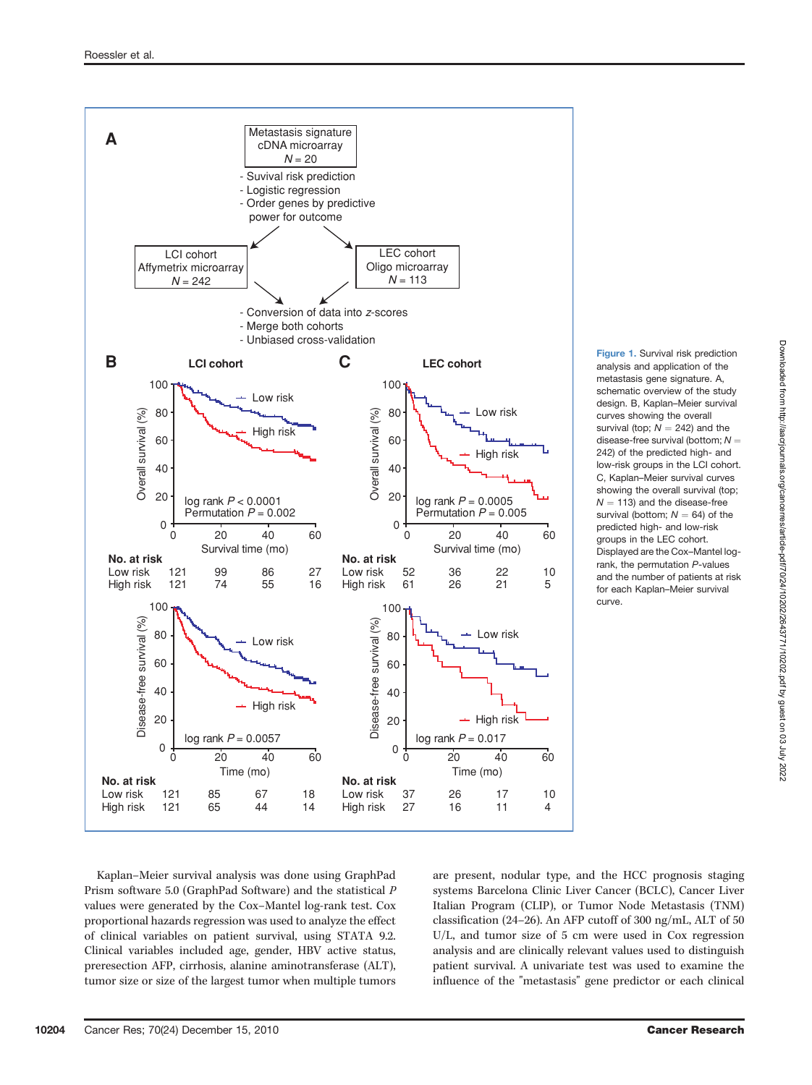

Figure 1. Survival risk prediction analysis and application of the metastasis gene signature. A, schematic overview of the study design. B, Kaplan–Meier survival curves showing the overall survival (top:  $N = 242$ ) and the disease-free survival (bottom;  $N =$ 242) of the predicted high- and low-risk groups in the LCI cohort. C, Kaplan–Meier survival curves showing the overall survival (top;  $N = 113$ ) and the disease-free survival (bottom:  $N = 64$ ) of the predicted high- and low-risk groups in the LEC cohort. Displayed are the Cox–Mantel logrank, the permutation P-values and the number of patients at risk for each Kaplan–Meier survival curve.

Kaplan–Meier survival analysis was done using GraphPad Prism software 5.0 (GraphPad Software) and the statistical P values were generated by the Cox–Mantel log-rank test. Cox proportional hazards regression was used to analyze the effect of clinical variables on patient survival, using STATA 9.2. Clinical variables included age, gender, HBV active status, preresection AFP, cirrhosis, alanine aminotransferase (ALT), tumor size or size of the largest tumor when multiple tumors are present, nodular type, and the HCC prognosis staging systems Barcelona Clinic Liver Cancer (BCLC), Cancer Liver Italian Program (CLIP), or Tumor Node Metastasis (TNM) classification (24–26). An AFP cutoff of 300 ng/mL, ALT of 50 U/L, and tumor size of 5 cm were used in Cox regression analysis and are clinically relevant values used to distinguish patient survival. A univariate test was used to examine the influence of the "metastasis" gene predictor or each clinical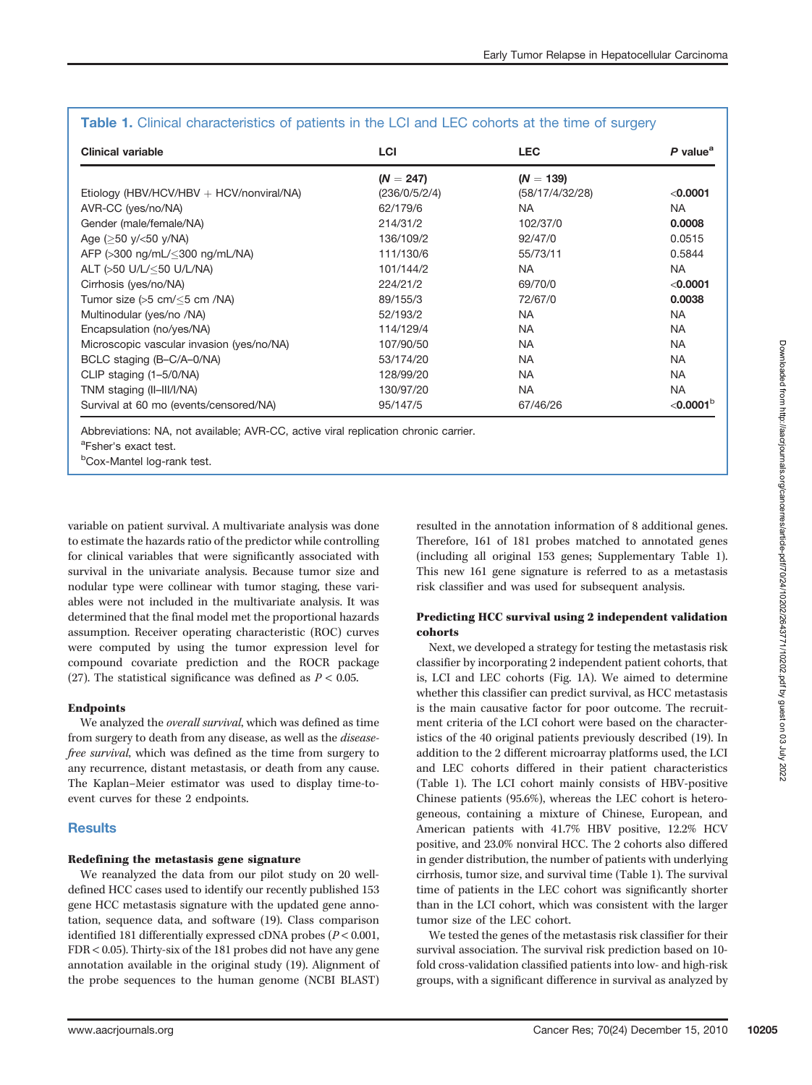| <b>Clinical variable</b>                        | <b>LCI</b>    | <b>LEC</b>      | P value <sup>a</sup>  |
|-------------------------------------------------|---------------|-----------------|-----------------------|
|                                                 | $(N = 247)$   | $(N = 139)$     |                       |
| Etiology (HBV/HCV/HBV $+$ HCV/nonviral/NA)      | (236/0/5/2/4) | (58/17/4/32/28) | < 0.0001              |
| AVR-CC (yes/no/NA)                              | 62/179/6      | <b>NA</b>       | NA.                   |
| Gender (male/female/NA)                         | 214/31/2      | 102/37/0        | 0.0008                |
| Age $(>50 \text{ y}/< 50 \text{ y}/N)$          | 136/109/2     | 92/47/0         | 0.0515                |
| AFP (>300 ng/mL/<300 ng/mL/NA)                  | 111/130/6     | 55/73/11        | 0.5844                |
| ALT (>50 U/L/<50 U/L/NA)                        | 101/144/2     | NA.             | <b>NA</b>             |
| Cirrhosis (yes/no/NA)                           | 224/21/2      | 69/70/0         | < 0.0001              |
| Tumor size $(5.5 \text{ cm}/5 \text{ cm})$ /NA) | 89/155/3      | 72/67/0         | 0.0038                |
| Multinodular (yes/no /NA)                       | 52/193/2      | NA.             | <b>NA</b>             |
| Encapsulation (no/yes/NA)                       | 114/129/4     | NA.             | <b>NA</b>             |
| Microscopic vascular invasion (yes/no/NA)       | 107/90/50     | <b>NA</b>       | <b>NA</b>             |
| BCLC staging (B-C/A-0/NA)                       | 53/174/20     | <b>NA</b>       | <b>NA</b>             |
| CLIP staging (1–5/0/NA)                         | 128/99/20     | <b>NA</b>       | <b>NA</b>             |
| TNM staging (II-III/I/NA)                       | 130/97/20     | <b>NA</b>       | <b>NA</b>             |
| Survival at 60 mo (events/censored/NA)          | 95/147/5      | 67/46/26        | $<$ 0.0001 $^{\circ}$ |

# Table 1. Clinical characteristics of patients in the LCI and LEC cohorts at the time of surgery

Abbreviations: NA, not available; AVR-CC, active viral replication chronic carrier.

<sup>a</sup>Fsher's exact test.

<sup>b</sup>Cox-Mantel log-rank test.

variable on patient survival. A multivariate analysis was done to estimate the hazards ratio of the predictor while controlling for clinical variables that were significantly associated with survival in the univariate analysis. Because tumor size and nodular type were collinear with tumor staging, these variables were not included in the multivariate analysis. It was determined that the final model met the proportional hazards assumption. Receiver operating characteristic (ROC) curves were computed by using the tumor expression level for compound covariate prediction and the ROCR package (27). The statistical significance was defined as  $P < 0.05$ .

# Endpoints

We analyzed the *overall survival*, which was defined as time from surgery to death from any disease, as well as the diseasefree survival, which was defined as the time from surgery to any recurrence, distant metastasis, or death from any cause. The Kaplan–Meier estimator was used to display time-toevent curves for these 2 endpoints.

# **Results**

# Redefining the metastasis gene signature

We reanalyzed the data from our pilot study on 20 welldefined HCC cases used to identify our recently published 153 gene HCC metastasis signature with the updated gene annotation, sequence data, and software (19). Class comparison identified 181 differentially expressed cDNA probes (P < 0.001, FDR < 0.05). Thirty-six of the 181 probes did not have any gene annotation available in the original study (19). Alignment of the probe sequences to the human genome (NCBI BLAST)

resulted in the annotation information of 8 additional genes. Therefore, 161 of 181 probes matched to annotated genes (including all original 153 genes; Supplementary Table 1). This new 161 gene signature is referred to as a metastasis risk classifier and was used for subsequent analysis.

# Predicting HCC survival using 2 independent validation cohorts

Next, we developed a strategy for testing the metastasis risk classifier by incorporating 2 independent patient cohorts, that is, LCI and LEC cohorts (Fig. 1A). We aimed to determine whether this classifier can predict survival, as HCC metastasis is the main causative factor for poor outcome. The recruitment criteria of the LCI cohort were based on the characteristics of the 40 original patients previously described (19). In addition to the 2 different microarray platforms used, the LCI and LEC cohorts differed in their patient characteristics (Table 1). The LCI cohort mainly consists of HBV-positive Chinese patients (95.6%), whereas the LEC cohort is heterogeneous, containing a mixture of Chinese, European, and American patients with 41.7% HBV positive, 12.2% HCV positive, and 23.0% nonviral HCC. The 2 cohorts also differed in gender distribution, the number of patients with underlying cirrhosis, tumor size, and survival time (Table 1). The survival time of patients in the LEC cohort was significantly shorter than in the LCI cohort, which was consistent with the larger tumor size of the LEC cohort.

We tested the genes of the metastasis risk classifier for their survival association. The survival risk prediction based on 10 fold cross-validation classified patients into low- and high-risk groups, with a significant difference in survival as analyzed by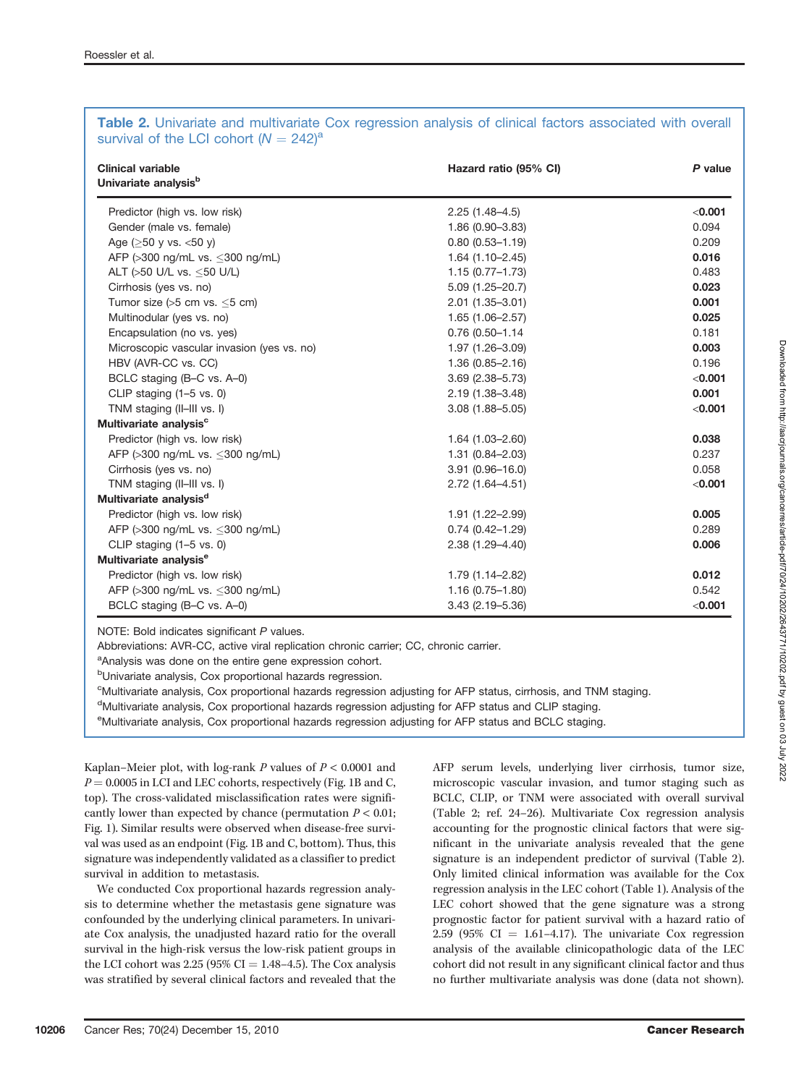| <b>Clinical variable</b><br>Univariate analysis <sup>b</sup> | Hazard ratio (95% CI) | P value |
|--------------------------------------------------------------|-----------------------|---------|
| Predictor (high vs. low risk)                                | $2.25(1.48-4.5)$      | < 0.001 |
| Gender (male vs. female)                                     | $1.86(0.90 - 3.83)$   | 0.094   |
| Age ( $>50$ y vs. $<50$ y)                                   | $0.80(0.53 - 1.19)$   | 0.209   |
| AFP (>300 ng/mL vs. <300 ng/mL)                              | $1.64(1.10 - 2.45)$   | 0.016   |
| ALT (>50 U/L vs. <50 U/L)                                    | $1.15(0.77 - 1.73)$   | 0.483   |
| Cirrhosis (yes vs. no)                                       | $5.09(1.25 - 20.7)$   | 0.023   |
| Tumor size $(55 \text{ cm})$ vs. $\leq 5 \text{ cm}$ )       | $2.01(1.35 - 3.01)$   | 0.001   |
| Multinodular (yes vs. no)                                    | $1.65(1.06 - 2.57)$   | 0.025   |
| Encapsulation (no vs. yes)                                   | 0.76 (0.50-1.14       | 0.181   |
| Microscopic vascular invasion (yes vs. no)                   | 1.97 (1.26-3.09)      | 0.003   |
| HBV (AVR-CC vs. CC)                                          | $1.36(0.85 - 2.16)$   | 0.196   |
| BCLC staging (B-C vs. A-0)                                   | $3.69(2.38 - 5.73)$   | < 0.001 |
| CLIP staging $(1-5 \text{ vs. } 0)$                          | 2.19 (1.38-3.48)      | 0.001   |
| TNM staging (II-III vs. I)                                   | $3.08(1.88 - 5.05)$   | < 0.001 |
| Multivariate analysis <sup>c</sup>                           |                       |         |
| Predictor (high vs. low risk)                                | $1.64(1.03 - 2.60)$   | 0.038   |
| AFP (>300 ng/mL vs. <300 ng/mL)                              | $1.31(0.84 - 2.03)$   | 0.237   |
| Cirrhosis (yes vs. no)                                       | $3.91(0.96 - 16.0)$   | 0.058   |
| TNM staging (II-III vs. I)                                   | 2.72 (1.64-4.51)      | < 0.001 |
| Multivariate analysis <sup>d</sup>                           |                       |         |
| Predictor (high vs. low risk)                                | 1.91 (1.22-2.99)      | 0.005   |
| AFP (>300 ng/mL vs. <300 ng/mL)                              | $0.74(0.42 - 1.29)$   | 0.289   |
| CLIP staging $(1-5 \text{ vs. } 0)$                          | 2.38 (1.29-4.40)      | 0.006   |
| Multivariate analysis <sup>e</sup>                           |                       |         |
| Predictor (high vs. low risk)                                | 1.79 (1.14-2.82)      | 0.012   |
| AFP (>300 ng/mL vs. <300 ng/mL)                              | $1.16(0.75 - 1.80)$   | 0.542   |
| BCLC staging (B-C vs. A-0)                                   | $3.43(2.19 - 5.36)$   | < 0.001 |

# Table 2. Univariate and multivariate Cox regression analysis of clinical factors associated with overall survival of the LCI cohort  $(N = 242)^a$

NOTE: Bold indicates significant P values.

Abbreviations: AVR-CC, active viral replication chronic carrier; CC, chronic carrier.

<sup>a</sup>Analysis was done on the entire gene expression cohort.

<sup>b</sup>Univariate analysis, Cox proportional hazards regression.

c Multivariate analysis, Cox proportional hazards regression adjusting for AFP status, cirrhosis, and TNM staging.

<sup>d</sup>Multivariate analysis, Cox proportional hazards regression adjusting for AFP status and CLIP staging.

eMultivariate analysis, Cox proportional hazards regression adjusting for AFP status and BCLC staging.

Kaplan–Meier plot, with log-rank  $P$  values of  $P < 0.0001$  and  $P = 0.0005$  in LCI and LEC cohorts, respectively (Fig. 1B and C, top). The cross-validated misclassification rates were significantly lower than expected by chance (permutation  $P < 0.01$ ; Fig. 1). Similar results were observed when disease-free survival was used as an endpoint (Fig. 1B and C, bottom). Thus, this signature was independently validated as a classifier to predict survival in addition to metastasis.

We conducted Cox proportional hazards regression analysis to determine whether the metastasis gene signature was confounded by the underlying clinical parameters. In univariate Cox analysis, the unadjusted hazard ratio for the overall survival in the high-risk versus the low-risk patient groups in the LCI cohort was  $2.25$  (95% CI = 1.48–4.5). The Cox analysis was stratified by several clinical factors and revealed that the AFP serum levels, underlying liver cirrhosis, tumor size, microscopic vascular invasion, and tumor staging such as BCLC, CLIP, or TNM were associated with overall survival (Table 2; ref. 24–26). Multivariate Cox regression analysis accounting for the prognostic clinical factors that were significant in the univariate analysis revealed that the gene signature is an independent predictor of survival (Table 2). Only limited clinical information was available for the Cox regression analysis in the LEC cohort (Table 1). Analysis of the LEC cohort showed that the gene signature was a strong prognostic factor for patient survival with a hazard ratio of  $2.59$  (95% CI = 1.61–4.17). The univariate Cox regression analysis of the available clinicopathologic data of the LEC cohort did not result in any significant clinical factor and thus no further multivariate analysis was done (data not shown).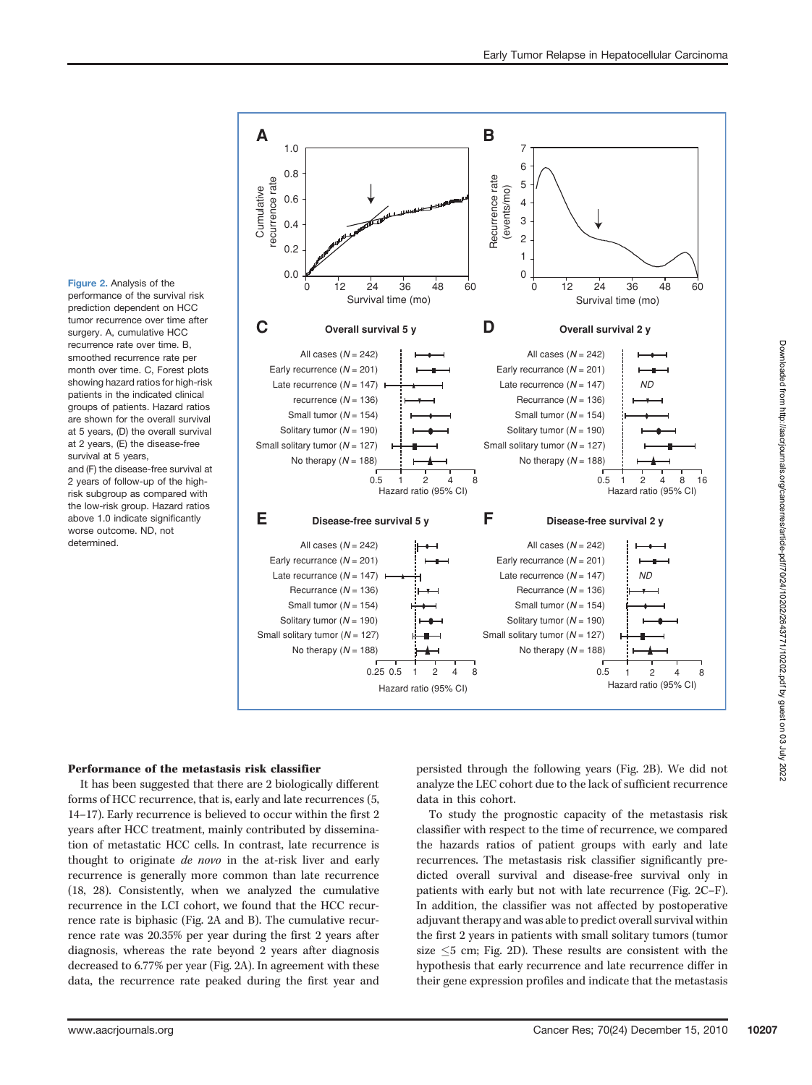Figure 2. Analysis of the performance of the survival risk prediction dependent on HCC tumor recurrence over time after surgery. A, cumulative HCC recurrence rate over time. B, smoothed recurrence rate per month over time. C, Forest plots showing hazard ratios for high-risk patients in the indicated clinical groups of patients. Hazard ratios are shown for the overall survival at 5 years, (D) the overall survival at 2 years, (E) the disease-free survival at 5 years. and (F) the disease-free survival at

2 years of follow-up of the highrisk subgroup as compared with the low-risk group. Hazard ratios above 1.0 indicate significantly worse outcome. ND, not determined.



# Performance of the metastasis risk classifier

It has been suggested that there are 2 biologically different forms of HCC recurrence, that is, early and late recurrences (5, 14–17). Early recurrence is believed to occur within the first 2 years after HCC treatment, mainly contributed by dissemination of metastatic HCC cells. In contrast, late recurrence is thought to originate de novo in the at-risk liver and early recurrence is generally more common than late recurrence (18, 28). Consistently, when we analyzed the cumulative recurrence in the LCI cohort, we found that the HCC recurrence rate is biphasic (Fig. 2A and B). The cumulative recurrence rate was 20.35% per year during the first 2 years after diagnosis, whereas the rate beyond 2 years after diagnosis decreased to 6.77% per year (Fig. 2A). In agreement with these data, the recurrence rate peaked during the first year and persisted through the following years (Fig. 2B). We did not analyze the LEC cohort due to the lack of sufficient recurrence data in this cohort.

To study the prognostic capacity of the metastasis risk classifier with respect to the time of recurrence, we compared the hazards ratios of patient groups with early and late recurrences. The metastasis risk classifier significantly predicted overall survival and disease-free survival only in patients with early but not with late recurrence (Fig. 2C–F). In addition, the classifier was not affected by postoperative adjuvant therapy and was able to predict overall survival within the first 2 years in patients with small solitary tumors (tumor size  $5$  cm; Fig. 2D). These results are consistent with the hypothesis that early recurrence and late recurrence differ in their gene expression profiles and indicate that the metastasis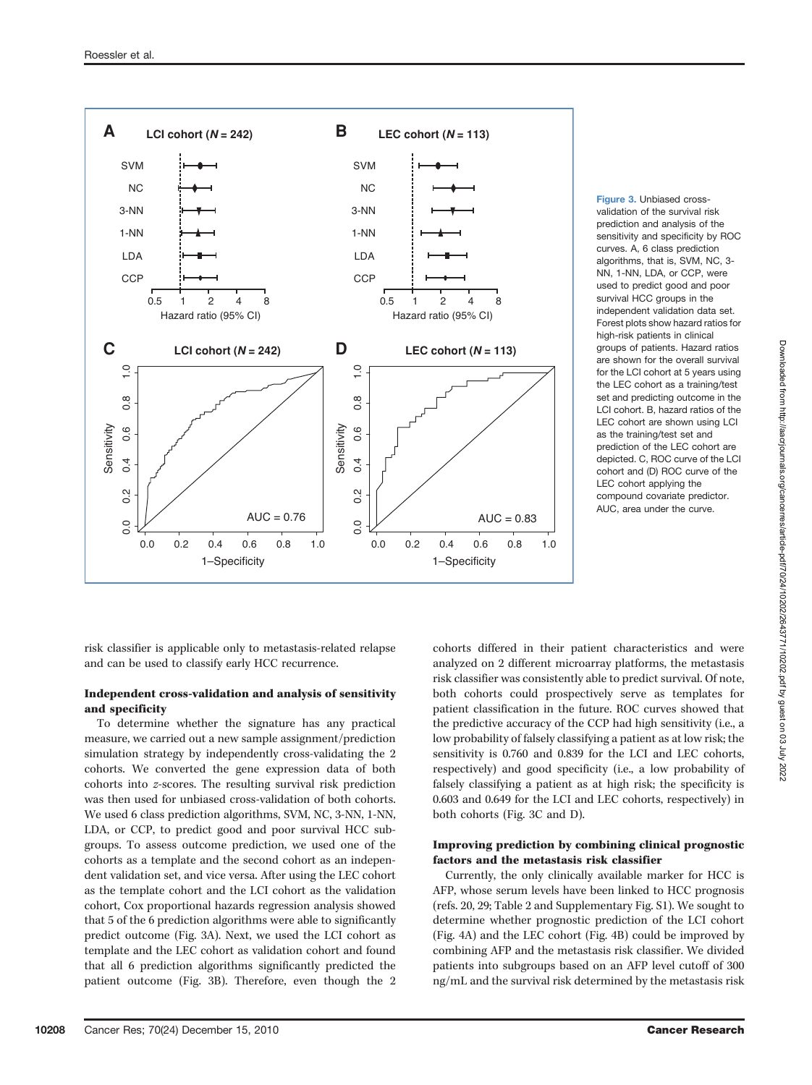

Figure 3. Unbiased crossvalidation of the survival risk prediction and analysis of the sensitivity and specificity by ROC curves. A, 6 class prediction algorithms, that is, SVM, NC, 3- NN, 1-NN, LDA, or CCP, were used to predict good and poor survival HCC groups in the independent validation data set. Forest plots show hazard ratios for high-risk patients in clinical groups of patients. Hazard ratios are shown for the overall survival for the LCI cohort at 5 years using the LEC cohort as a training/test set and predicting outcome in the LCI cohort. B, hazard ratios of the LEC cohort are shown using LCI as the training/test set and prediction of the LEC cohort are depicted. C, ROC curve of the LCI cohort and (D) ROC curve of the LEC cohort applying the compound covariate predictor. AUC, area under the curve.

risk classifier is applicable only to metastasis-related relapse and can be used to classify early HCC recurrence.

### Independent cross-validation and analysis of sensitivity and specificity

To determine whether the signature has any practical measure, we carried out a new sample assignment/prediction simulation strategy by independently cross-validating the 2 cohorts. We converted the gene expression data of both cohorts into z-scores. The resulting survival risk prediction was then used for unbiased cross-validation of both cohorts. We used 6 class prediction algorithms, SVM, NC, 3-NN, 1-NN, LDA, or CCP, to predict good and poor survival HCC subgroups. To assess outcome prediction, we used one of the cohorts as a template and the second cohort as an independent validation set, and vice versa. After using the LEC cohort as the template cohort and the LCI cohort as the validation cohort, Cox proportional hazards regression analysis showed that 5 of the 6 prediction algorithms were able to significantly predict outcome (Fig. 3A). Next, we used the LCI cohort as template and the LEC cohort as validation cohort and found that all 6 prediction algorithms significantly predicted the patient outcome (Fig. 3B). Therefore, even though the 2 cohorts differed in their patient characteristics and were analyzed on 2 different microarray platforms, the metastasis risk classifier was consistently able to predict survival. Of note, both cohorts could prospectively serve as templates for patient classification in the future. ROC curves showed that the predictive accuracy of the CCP had high sensitivity (i.e., a low probability of falsely classifying a patient as at low risk; the sensitivity is 0.760 and 0.839 for the LCI and LEC cohorts, respectively) and good specificity (i.e., a low probability of falsely classifying a patient as at high risk; the specificity is 0.603 and 0.649 for the LCI and LEC cohorts, respectively) in both cohorts (Fig. 3C and D).

### Improving prediction by combining clinical prognostic factors and the metastasis risk classifier

Currently, the only clinically available marker for HCC is AFP, whose serum levels have been linked to HCC prognosis (refs. 20, 29; Table 2 and Supplementary Fig. S1). We sought to determine whether prognostic prediction of the LCI cohort (Fig. 4A) and the LEC cohort (Fig. 4B) could be improved by combining AFP and the metastasis risk classifier. We divided patients into subgroups based on an AFP level cutoff of 300 ng/mL and the survival risk determined by the metastasis risk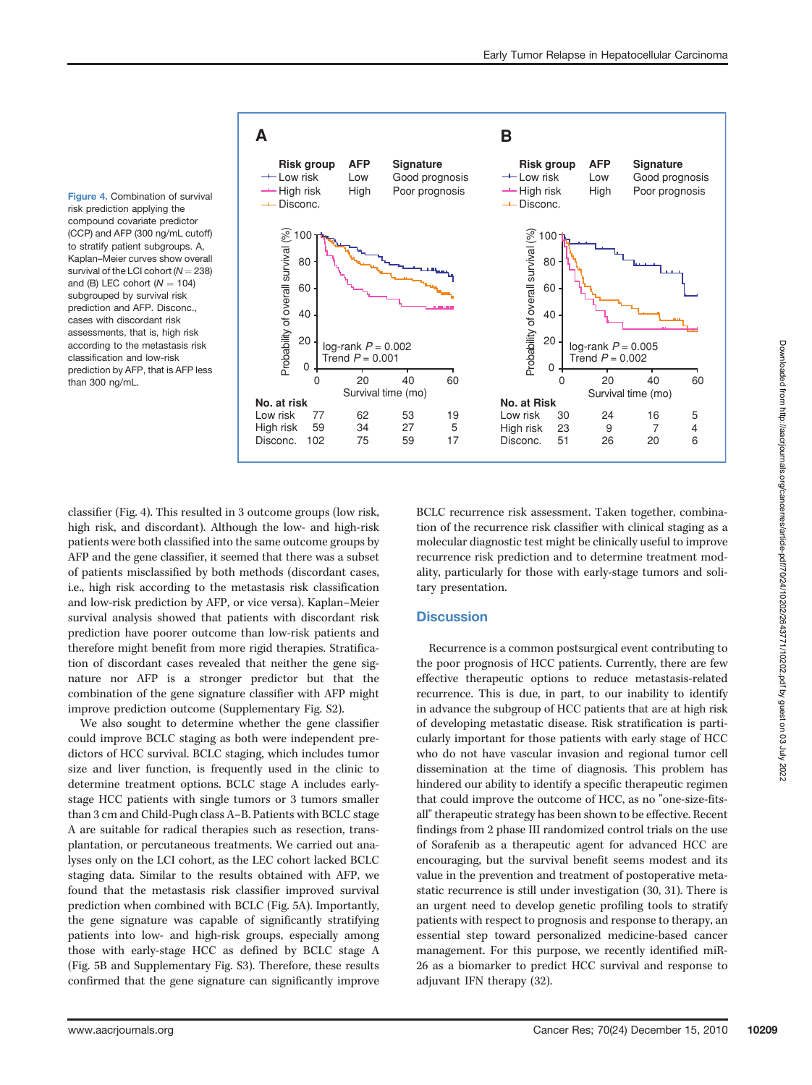Figure 4. Combination of survival risk prediction applying the compound covariate predictor (CCP) and AFP (300 ng/mL cutoff) to stratify patient subgroups. A, Kaplan–Meier curves show overall survival of the LCI cohort ( $N = 238$ ) and  $(R)$  LEC cohort  $(N = 104)$ subgrouped by survival risk prediction and AFP. Disconc., cases with discordant risk assessments, that is, high risk according to the metastasis risk classification and low-risk prediction by AFP, that is AFP less than 300 ng/mL.



classifier (Fig. 4). This resulted in 3 outcome groups (low risk, high risk, and discordant). Although the low- and high-risk patients were both classified into the same outcome groups by AFP and the gene classifier, it seemed that there was a subset of patients misclassified by both methods (discordant cases, i.e., high risk according to the metastasis risk classification and low-risk prediction by AFP, or vice versa). Kaplan–Meier survival analysis showed that patients with discordant risk prediction have poorer outcome than low-risk patients and therefore might benefit from more rigid therapies. Stratification of discordant cases revealed that neither the gene signature nor AFP is a stronger predictor but that the combination of the gene signature classifier with AFP might improve prediction outcome (Supplementary Fig. S2).

We also sought to determine whether the gene classifier could improve BCLC staging as both were independent predictors of HCC survival. BCLC staging, which includes tumor size and liver function, is frequently used in the clinic to determine treatment options. BCLC stage A includes earlystage HCC patients with single tumors or 3 tumors smaller than 3 cm and Child-Pugh class A–B. Patients with BCLC stage A are suitable for radical therapies such as resection, transplantation, or percutaneous treatments. We carried out analyses only on the LCI cohort, as the LEC cohort lacked BCLC staging data. Similar to the results obtained with AFP, we found that the metastasis risk classifier improved survival prediction when combined with BCLC (Fig. 5A). Importantly, the gene signature was capable of significantly stratifying patients into low- and high-risk groups, especially among those with early-stage HCC as defined by BCLC stage A (Fig. 5B and Supplementary Fig. S3). Therefore, these results confirmed that the gene signature can significantly improve

BCLC recurrence risk assessment. Taken together, combination of the recurrence risk classifier with clinical staging as a molecular diagnostic test might be clinically useful to improve recurrence risk prediction and to determine treatment modality, particularly for those with early-stage tumors and solitary presentation.

# **Discussion**

Recurrence is a common postsurgical event contributing to the poor prognosis of HCC patients. Currently, there are few effective therapeutic options to reduce metastasis-related recurrence. This is due, in part, to our inability to identify in advance the subgroup of HCC patients that are at high risk of developing metastatic disease. Risk stratification is particularly important for those patients with early stage of HCC who do not have vascular invasion and regional tumor cell dissemination at the time of diagnosis. This problem has hindered our ability to identify a specific therapeutic regimen that could improve the outcome of HCC, as no "one-size-fitsall" therapeutic strategy has been shown to be effective. Recent findings from 2 phase III randomized control trials on the use of Sorafenib as a therapeutic agent for advanced HCC are encouraging, but the survival benefit seems modest and its value in the prevention and treatment of postoperative metastatic recurrence is still under investigation (30, 31). There is an urgent need to develop genetic profiling tools to stratify patients with respect to prognosis and response to therapy, an essential step toward personalized medicine-based cancer management. For this purpose, we recently identified miR-26 as a biomarker to predict HCC survival and response to adjuvant IFN therapy (32).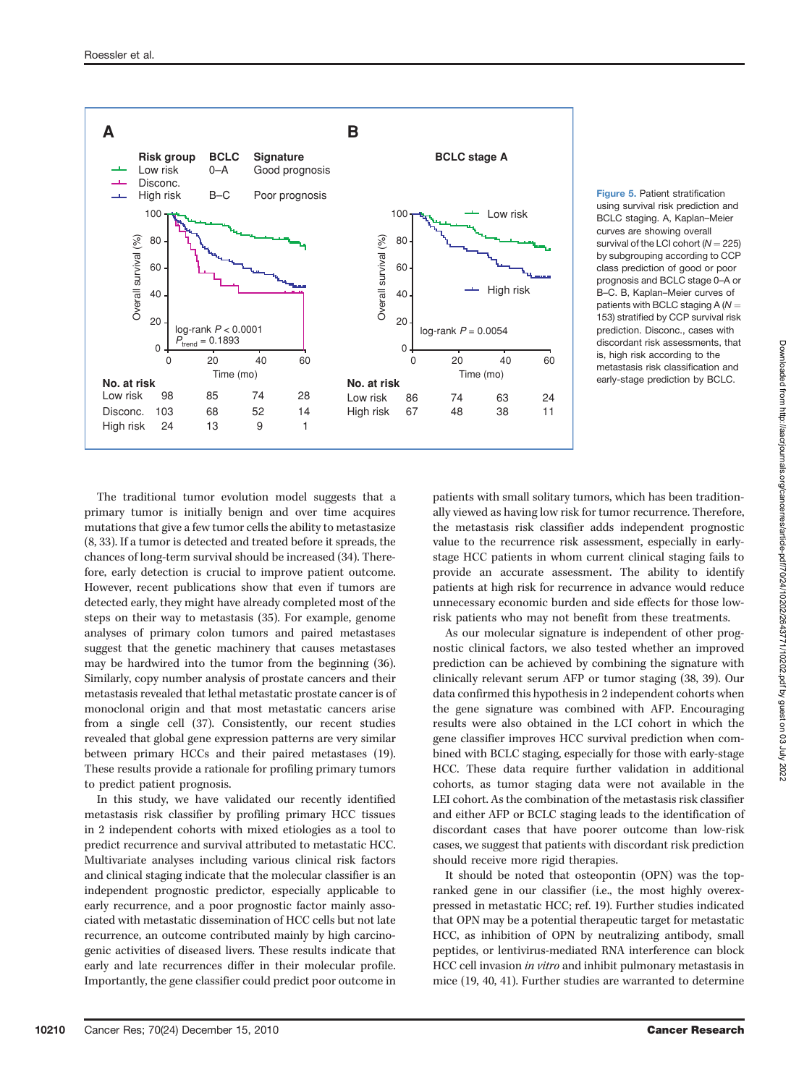

Figure 5. Patient stratification using survival risk prediction and BCLC staging. A, Kaplan–Meier curves are showing overall survival of the LCI cohort  $(N = 225)$ by subgrouping according to CCP class prediction of good or poor prognosis and BCLC stage 0–A or B–C. B, Kaplan–Meier curves of patients with BCLC staging  $A(N =$ 153) stratified by CCP survival risk prediction. Disconc., cases with discordant risk assessments, that is, high risk according to the metastasis risk classification and early-stage prediction by BCLC.

The traditional tumor evolution model suggests that a primary tumor is initially benign and over time acquires mutations that give a few tumor cells the ability to metastasize (8, 33). If a tumor is detected and treated before it spreads, the chances of long-term survival should be increased (34). Therefore, early detection is crucial to improve patient outcome. However, recent publications show that even if tumors are detected early, they might have already completed most of the steps on their way to metastasis (35). For example, genome analyses of primary colon tumors and paired metastases suggest that the genetic machinery that causes metastases may be hardwired into the tumor from the beginning (36). Similarly, copy number analysis of prostate cancers and their metastasis revealed that lethal metastatic prostate cancer is of monoclonal origin and that most metastatic cancers arise from a single cell (37). Consistently, our recent studies revealed that global gene expression patterns are very similar between primary HCCs and their paired metastases (19). These results provide a rationale for profiling primary tumors to predict patient prognosis.

In this study, we have validated our recently identified metastasis risk classifier by profiling primary HCC tissues in 2 independent cohorts with mixed etiologies as a tool to predict recurrence and survival attributed to metastatic HCC. Multivariate analyses including various clinical risk factors and clinical staging indicate that the molecular classifier is an independent prognostic predictor, especially applicable to early recurrence, and a poor prognostic factor mainly associated with metastatic dissemination of HCC cells but not late recurrence, an outcome contributed mainly by high carcinogenic activities of diseased livers. These results indicate that early and late recurrences differ in their molecular profile. Importantly, the gene classifier could predict poor outcome in patients with small solitary tumors, which has been traditionally viewed as having low risk for tumor recurrence. Therefore, the metastasis risk classifier adds independent prognostic value to the recurrence risk assessment, especially in earlystage HCC patients in whom current clinical staging fails to provide an accurate assessment. The ability to identify patients at high risk for recurrence in advance would reduce unnecessary economic burden and side effects for those lowrisk patients who may not benefit from these treatments.

As our molecular signature is independent of other prognostic clinical factors, we also tested whether an improved prediction can be achieved by combining the signature with clinically relevant serum AFP or tumor staging (38, 39). Our data confirmed this hypothesis in 2 independent cohorts when the gene signature was combined with AFP. Encouraging results were also obtained in the LCI cohort in which the gene classifier improves HCC survival prediction when combined with BCLC staging, especially for those with early-stage HCC. These data require further validation in additional cohorts, as tumor staging data were not available in the LEI cohort. As the combination of the metastasis risk classifier and either AFP or BCLC staging leads to the identification of discordant cases that have poorer outcome than low-risk cases, we suggest that patients with discordant risk prediction should receive more rigid therapies.

It should be noted that osteopontin (OPN) was the topranked gene in our classifier (i.e., the most highly overexpressed in metastatic HCC; ref. 19). Further studies indicated that OPN may be a potential therapeutic target for metastatic HCC, as inhibition of OPN by neutralizing antibody, small peptides, or lentivirus-mediated RNA interference can block HCC cell invasion in vitro and inhibit pulmonary metastasis in mice (19, 40, 41). Further studies are warranted to determine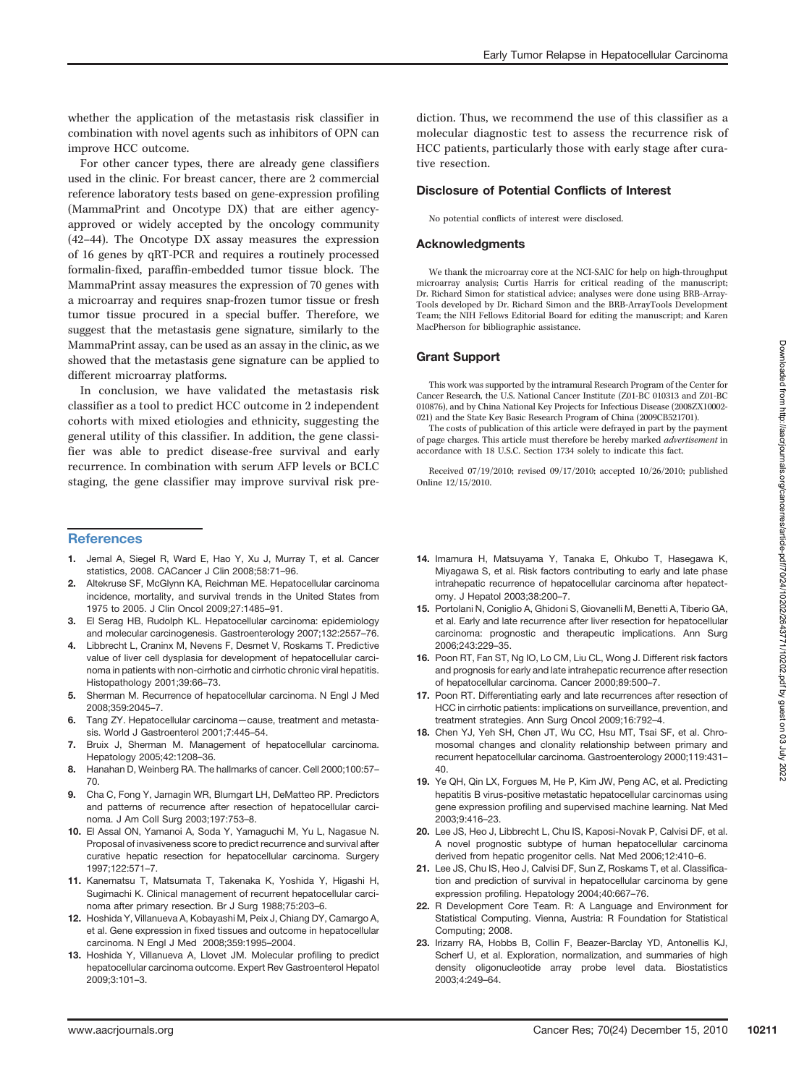whether the application of the metastasis risk classifier in combination with novel agents such as inhibitors of OPN can improve HCC outcome.

For other cancer types, there are already gene classifiers used in the clinic. For breast cancer, there are 2 commercial reference laboratory tests based on gene-expression profiling (MammaPrint and Oncotype DX) that are either agencyapproved or widely accepted by the oncology community (42–44). The Oncotype DX assay measures the expression of 16 genes by qRT-PCR and requires a routinely processed formalin-fixed, paraffin-embedded tumor tissue block. The MammaPrint assay measures the expression of 70 genes with a microarray and requires snap-frozen tumor tissue or fresh tumor tissue procured in a special buffer. Therefore, we suggest that the metastasis gene signature, similarly to the MammaPrint assay, can be used as an assay in the clinic, as we showed that the metastasis gene signature can be applied to different microarray platforms.

In conclusion, we have validated the metastasis risk classifier as a tool to predict HCC outcome in 2 independent cohorts with mixed etiologies and ethnicity, suggesting the general utility of this classifier. In addition, the gene classifier was able to predict disease-free survival and early recurrence. In combination with serum AFP levels or BCLC staging, the gene classifier may improve survival risk pre-

#### **References**

- 1. Jemal A, Siegel R, Ward E, Hao Y, Xu J, Murray T, et al. Cancer statistics, 2008. CACancer J Clin 2008;58:71–96.
- 2. Altekruse SF, McGlynn KA, Reichman ME. Hepatocellular carcinoma incidence, mortality, and survival trends in the United States from 1975 to 2005. J Clin Oncol 2009;27:1485–91.
- 3. El Serag HB, Rudolph KL. Hepatocellular carcinoma: epidemiology and molecular carcinogenesis. Gastroenterology 2007;132:2557–76.
- 4. Libbrecht L, Craninx M, Nevens F, Desmet V, Roskams T. Predictive value of liver cell dysplasia for development of hepatocellular carcinoma in patients with non-cirrhotic and cirrhotic chronic viral hepatitis. Histopathology 2001;39:66–73.
- 5. Sherman M. Recurrence of hepatocellular carcinoma. N Engl J Med 2008;359:2045–7.
- 6. Tang ZY. Hepatocellular carcinoma—cause, treatment and metastasis. World J Gastroenterol 2001;7:445–54.
- Bruix J, Sherman M. Management of hepatocellular carcinoma. Hepatology 2005;42:1208–36.
- 8. Hanahan D, Weinberg RA. The hallmarks of cancer. Cell 2000;100:57– 70.
- 9. Cha C, Fong Y, Jarnagin WR, Blumgart LH, DeMatteo RP. Predictors and patterns of recurrence after resection of hepatocellular carcinoma. J Am Coll Surg 2003;197:753–8.
- 10. El Assal ON, Yamanoi A, Soda Y, Yamaguchi M, Yu L, Nagasue N. Proposal of invasiveness score to predict recurrence and survival after curative hepatic resection for hepatocellular carcinoma. Surgery 1997;122:571–7.
- 11. Kanematsu T, Matsumata T, Takenaka K, Yoshida Y, Higashi H, Sugimachi K. Clinical management of recurrent hepatocellular carcinoma after primary resection. Br J Surg 1988;75:203–6.
- 12. Hoshida Y, Villanueva A, Kobayashi M, Peix J, Chiang DY, Camargo A, et al. Gene expression in fixed tissues and outcome in hepatocellular carcinoma. N Engl J Med 2008;359:1995–2004.
- 13. Hoshida Y, Villanueva A, Llovet JM. Molecular profiling to predict hepatocellular carcinoma outcome. Expert Rev Gastroenterol Hepatol 2009;3:101–3.

diction. Thus, we recommend the use of this classifier as a molecular diagnostic test to assess the recurrence risk of HCC patients, particularly those with early stage after curative resection.

## Disclosure of Potential Conflicts of Interest

No potential conflicts of interest were disclosed.

#### Acknowledgments

We thank the microarray core at the NCI-SAIC for help on high-throughput microarray analysis: Curtis Harris for critical reading of the manuscript: Dr. Richard Simon for statistical advice; analyses were done using BRB-Array-Tools developed by Dr. Richard Simon and the BRB-ArrayTools Development Team; the NIH Fellows Editorial Board for editing the manuscript; and Karen MacPherson for bibliographic assistance.

# Grant Support

This work was supported by the intramural Research Program of the Center for Cancer Research, the U.S. National Cancer Institute (Z01-BC 010313 and Z01-BC 010876), and by China National Key Projects for Infectious Disease (2008ZX10002- 021) and the State Key Basic Research Program of China (2009CB521701).

The costs of publication of this article were defrayed in part by the payment of page charges. This article must therefore be hereby marked advertisement in accordance with 18 U.S.C. Section 1734 solely to indicate this fact.

Received 07/19/2010; revised 09/17/2010; accepted 10/26/2010; published Online 12/15/2010.

- 14. Imamura H, Matsuyama Y, Tanaka E, Ohkubo T, Hasegawa K, Miyagawa S, et al. Risk factors contributing to early and late phase intrahepatic recurrence of hepatocellular carcinoma after hepatectomy. J Hepatol 2003;38:200–7.
- 15. Portolani N, Coniglio A, Ghidoni S, Giovanelli M, Benetti A, Tiberio GA, et al. Early and late recurrence after liver resection for hepatocellular carcinoma: prognostic and therapeutic implications. Ann Surg 2006;243:229–35.
- 16. Poon RT, Fan ST, Ng IO, Lo CM, Liu CL, Wong J. Different risk factors and prognosis for early and late intrahepatic recurrence after resection of hepatocellular carcinoma. Cancer 2000;89:500–7.
- 17. Poon RT. Differentiating early and late recurrences after resection of HCC in cirrhotic patients: implications on surveillance, prevention, and treatment strategies. Ann Surg Oncol 2009;16:792–4.
- 18. Chen YJ, Yeh SH, Chen JT, Wu CC, Hsu MT, Tsai SF, et al. Chromosomal changes and clonality relationship between primary and recurrent hepatocellular carcinoma. Gastroenterology 2000;119:431– 40.
- 19. Ye QH, Qin LX, Forgues M, He P, Kim JW, Peng AC, et al. Predicting hepatitis B virus-positive metastatic hepatocellular carcinomas using gene expression profiling and supervised machine learning. Nat Med 2003;9:416–23.
- 20. Lee JS, Heo J, Libbrecht L, Chu IS, Kaposi-Novak P, Calvisi DF, et al. A novel prognostic subtype of human hepatocellular carcinoma derived from hepatic progenitor cells. Nat Med 2006;12:410–6.
- 21. Lee JS, Chu IS, Heo J, Calvisi DF, Sun Z, Roskams T, et al. Classification and prediction of survival in hepatocellular carcinoma by gene expression profiling. Hepatology 2004;40:667–76.
- 22. R Development Core Team. R: A Language and Environment for Statistical Computing. Vienna, Austria: R Foundation for Statistical Computing; 2008.
- 23. Irizarry RA, Hobbs B, Collin F, Beazer-Barclay YD, Antonellis KJ, Scherf U, et al. Exploration, normalization, and summaries of high density oligonucleotide array probe level data. Biostatistics 2003;4:249–64.